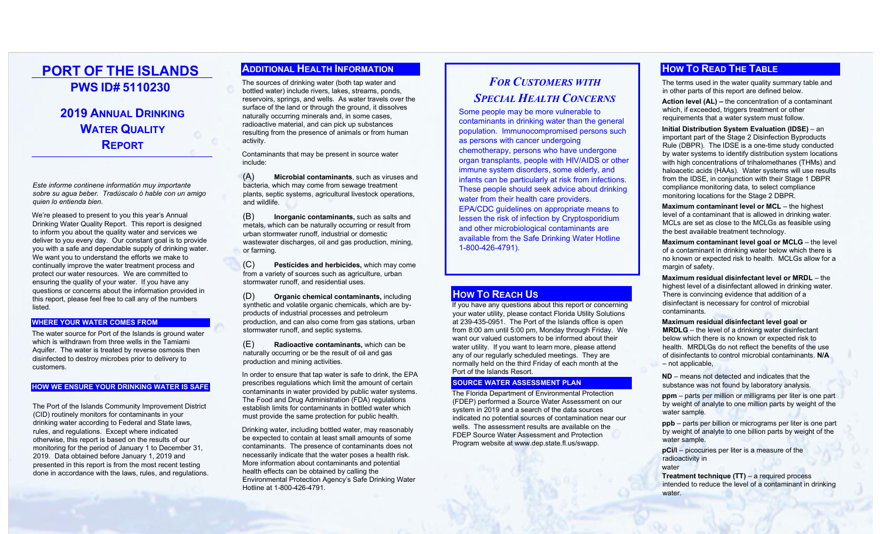# **PORT OF THE ISLANDS PWS ID# 5110230**

## **2019 ANNUAL DRINKING WATER QUALITY REPORT**

*Este informe continene informatión muy importante sobre su agua beber. Tradúscalo ó hable con un amigo quien lo entienda bien.*

We're pleased to present to you this year's Annual Drinking Water Quality Report. This report is designed to inform you about the quality water and services we deliver to you every day. Our constant goal is to provide you with a safe and dependable supply of drinking water. We want you to understand the efforts we make to continually improve the water treatment process and protect our water resources. We are committed to ensuring the quality of your water. If you have any questions or concerns about the information provided in this report, please feel free to call any of the numbers listed.

#### **WHERE YOUR WATER COMES FROM**

The water source for Port of the Islands is ground water which is withdrawn from three wells in the Tamiami Aquifer. The water is treated by reverse osmosis then disinfected to destroy microbes prior to delivery to customers.

### **HOW WE ENSURE YOUR DRINKING WATER IS SAFE**

The Port of the Islands Community Improvement District (CID) routinely monitors for contaminants in your drinking water according to Federal and State laws, rules, and regulations. Except where indicated otherwise, this report is based on the results of our monitoring for the period of January 1 to December 31, 2019. Data obtained before January 1, 2019 and presented in this report is from the most recent testing done in accordance with the laws, rules, and regulations.

## **ADDITIONAL HEALTH INFORMATION**

The sources of drinking water (both tap water and bottled water) include rivers, lakes, streams, ponds, reservoirs, springs, and wells. As water travels over the surface of the land or through the ground, it dissolves naturally occurring minerals and, in some cases, radioactive material, and can pick up substances resulting from the presence of animals or from human activity.

Contaminants that may be present in source water include:

(A) **Microbial contaminants**, such as viruses and bacteria, which may come from sewage treatment plants, septic systems, agricultural livestock operations, and wildlife.

(B) **Inorganic contaminants,** such as salts and metals, which can be naturally occurring or result from urban stormwater runoff, industrial or domestic wastewater discharges, oil and gas production, mining, or farming.

(C) **Pesticides and herbicides,** which may come from a variety of sources such as agriculture, urban stormwater runoff, and residential uses

(D) **Organic chemical contaminants,** including synthetic and volatile organic chemicals, which are byproducts of industrial processes and petroleum production, and can also come from gas stations, urban stormwater runoff, and septic systems.

(E) **Radioactive contaminants,** which can be naturally occurring or be the result of oil and gas production and mining activities.

In order to ensure that tap water is safe to drink, the EPA prescribes regulations which limit the amount of certain contaminants in water provided by public water systems. The Food and Drug Administration (FDA) regulations establish limits for contaminants in bottled water which must provide the same protection for public health.

Drinking water, including bottled water, may reasonably be expected to contain at least small amounts of some contaminants. The presence of contaminants does not necessarily indicate that the water poses a health risk. More information about contaminants and potential health effects can be obtained by calling the Environmental Protection Agency's Safe Drinking Water Hotline at 1-800-426-4791.

## *FOR CUSTOMERS WITH SPECIAL HEALTH CONCERNS*

Some people may be more vulnerable to contaminants in drinking water than the general population. Immunocompromised persons such as persons with cancer undergoing chemotherapy, persons who have undergone organ transplants, people with HIV/AIDS or other immune system disorders, some elderly, and infants can be particularly at risk from infections. These people should seek advice about drinking water from their health care providers. EPA/CDC guidelines on appropriate means to lessen the risk of infection by Cryptosporidium and other microbiological contaminants are available from the Safe Drinking Water Hotline 1-800-426-4791).

### **HOW TO REACH US**

If you have any questions about this report or concerning your water utility, please contact Florida Utility Solutions at 239-435-0951. The Port of the Islands office is open from 8:00 am until 5:00 pm, Monday through Friday. We want our valued customers to be informed about their water utility. If you want to learn more, please attend any of our regularly scheduled meetings. They are normally held on the third Friday of each month at the Port of the Islands Resort.

### **SOURCE WATER ASSESSMENT PLAN**

The Florida Department of Environmental Protection (FDEP) performed a Source Water Assessment on our system in 2019 and a search of the data sources indicated no potential sources of contamination near our wells. The assessment results are available on the FDEP Source Water Assessment and Protection Program website a[t www.dep.state.fl.us/swapp.](http://www.dep.state.fl.us/swapp)

### **HOW TO READ THE TABLE**

The terms used in the water quality summary table and in other parts of this report are defined below.

**Action level (AL) –** the concentration of a contaminant which, if exceeded, triggers treatment or other requirements that a water system must follow.

**Initial Distribution System Evaluation (IDSE)** – an important part of the Stage 2 Disinfection Byproducts Rule (DBPR). The IDSE is a one-time study conducted by water systems to identify distribution system locations with high concentrations of trihalomethanes (THMs) and haloacetic acids (HAAs). Water systems will use results from the IDSE, in conjunction with their Stage 1 DBPR compliance monitoring data, to select compliance monitoring locations for the Stage 2 DBPR.

**Maximum contaminant level or MCL** – the highest level of a contaminant that is allowed in drinking water. MCLs are set as close to the MCLGs as feasible using the best available treatment technology.

**Maximum contaminant level goal or MCLG** – the level of a contaminant in drinking water below which there is no known or expected risk to health. MCLGs allow for a margin of safety.

**Maximum residual disinfectant level or MRDL** – the highest level of a disinfectant allowed in drinking water. There is convincing evidence that addition of a disinfectant is necessary for control of microbial contaminants.

**Maximum residual disinfectant level goal or MRDLG** – the level of a drinking water disinfectant below which there is no known or expected risk to health. MRDLGs do not reflect the benefits of the use of disinfectants to control microbial contaminants. **N/A** – not applicable,

**ND** – means not detected and indicates that the substance was not found by laboratory analysis.

**ppm** – parts per million or milligrams per liter is one part by weight of analyte to one million parts by weight of the water sample.

**ppb** – parts per billion or micrograms per liter is one part by weight of analyte to one billion parts by weight of the water sample.

**pCi/l** – picocuries per liter is a measure of the radioactivity in water

**Treatment technique (TT)** – a required process intended to reduce the level of a contaminant in drinking water